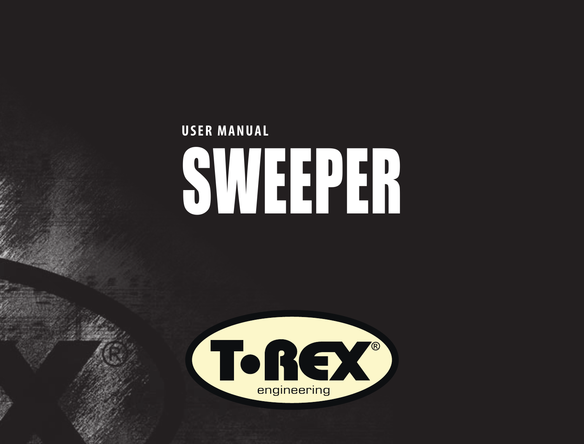# SWEEPER **USER MANUAL**

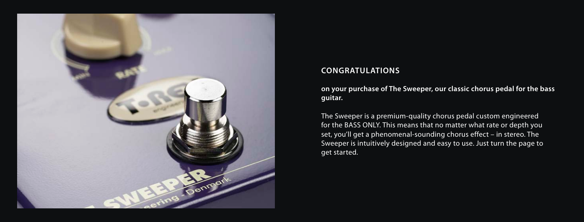

#### **CONGRATULATIONS**

**on your purchase of The Sweeper, our classic chorus pedal for the bass guitar.**

The Sweeper is a premium-quality chorus pedal custom engineered for the BASS ONLY. This means that no matter what rate or depth you set, you'll get a phenomenal-sounding chorus effect – in stereo. The Sweeper is intuitively designed and easy to use. Just turn the page to get started.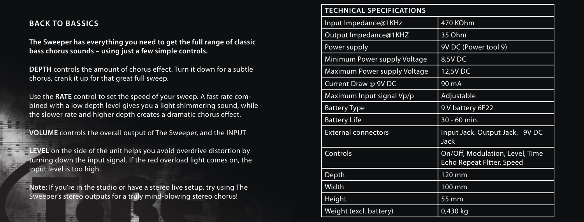# **BACK TO BASSICS**

**The Sweeper has everything you need to get the full range of classic bass chorus sounds – using just a few simple controls.**

**DEPTH** controls the amount of chorus effect. Turn it down for a subtle chorus, crank it up for that great full sweep.

Use the **RATE** control to set the speed of your sweep. A fast rate combined with a low depth level gives you a light shimmering sound, while the slower rate and higher depth creates a dramatic chorus effect.

**VOLUME** controls the overall output of The Sweeper, and the INPUT

**LEVEL** on the side of the unit helps you avoid overdrive distortion by turning down the input signal. If the red overload light comes on, the input level is too high.

**Note:** If you're in the studio or have a stereo live setup, try using The Sweeper's stereo outputs for a truly mind-blowing stereo chorus!

| <b>TECHNICAL SPECIFICATIONS</b> |                                                              |
|---------------------------------|--------------------------------------------------------------|
| Input Impedance@1KHz            | 470 KOhm                                                     |
| Output Impedance@1KHZ           | 35 Ohm                                                       |
| Power supply                    | 9V DC (Power tool 9)                                         |
| Minimum Power supply Voltage    | 8,5V DC                                                      |
| Maximum Power supply Voltage    | 12,5V DC                                                     |
| Current Draw @ 9V DC            | 90 mA                                                        |
| Maximum Input signal Vp/p       | Adjustable                                                   |
| <b>Battery Type</b>             | 9 V battery 6F22                                             |
| <b>Battery Life</b>             | 30 - 60 min.                                                 |
| <b>External connectors</b>      | Input Jack. Output Jack, 9V DC<br>Jack                       |
| Controls                        | On/Off, Modulation, Level, Time<br>Echo Repeat Fitter, Speed |
| Depth                           | 120 mm                                                       |
| Width                           | 100 mm                                                       |
| Height                          | 55 mm                                                        |
| Weight (excl. battery)          | 0,430 kg                                                     |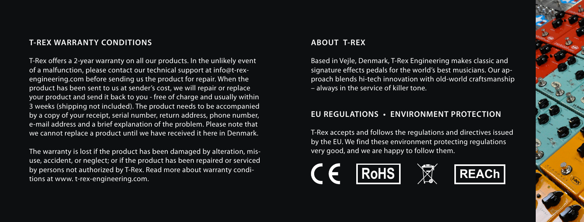### **T-REX WARRANTY CONDITIONS**

T-Rex offers a 2-year warranty on all our products. In the unlikely event of a malfunction, please contact our technical support at info@t-rexengineering.com before sending us the product for repair. When the product has been sent to us at sender's cost, we will repair or replace your product and send it back to you - free of charge and usually within 3 weeks (shipping not included). The product needs to be accompanied by a copy of your receipt, serial number, return address, phone number, e-mail address and a brief explanation of the problem. Please note that we cannot replace a product until we have received it here in Denmark.

The warranty is lost if the product has been damaged by alteration, misuse, accident, or neglect; or if the product has been repaired or serviced by persons not authorized by T-Rex. Read more about warranty conditions at www. t-rex-engineering.com.

#### **ABOUT T-REX**

Based in Vejle, Denmark, T-Rex Engineering makes classic and signature effects pedals for the world's best musicians. Our approach blends hi-tech innovation with old-world craftsmanship – always in the service of killer tone.

## **EU REGULATIONS • ENVIRONMENT PROTECTION**

T-Rex accepts and follows the regulations and directives issued by the EU. We find these environment protecting regulations very good, and we are happy to follow them.